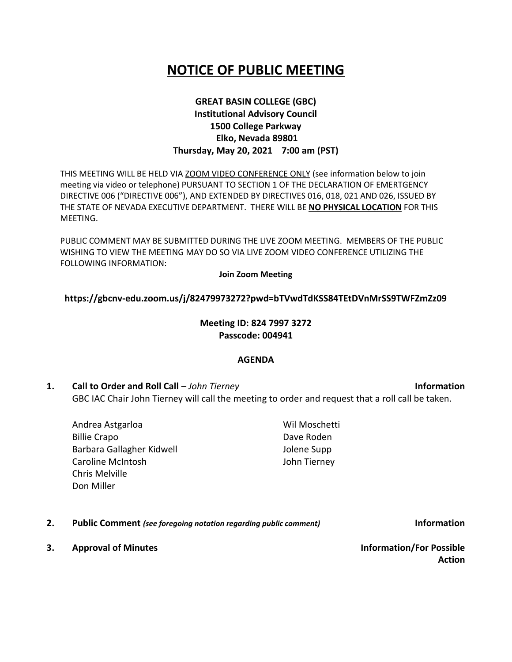# **NOTICE OF PUBLIC MEETING**

# **GREAT BASIN COLLEGE (GBC) Institutional Advisory Council 1500 College Parkway Elko, Nevada 89801 Thursday, May 20, 2021 7:00 am (PST)**

THIS MEETING WILL BE HELD VIA ZOOM VIDEO CONFERENCE ONLY (see information below to join meeting via video or telephone) PURSUANT TO SECTION 1 OF THE DECLARATION OF EMERTGENCY DIRECTIVE 006 ("DIRECTIVE 006"), AND EXTENDED BY DIRECTIVES 016, 018, 021 AND 026, ISSUED BY THE STATE OF NEVADA EXECUTIVE DEPARTMENT. THERE WILL BE **NO PHYSICAL LOCATION** FOR THIS MEETING.

PUBLIC COMMENT MAY BE SUBMITTED DURING THE LIVE ZOOM MEETING. MEMBERS OF THE PUBLIC WISHING TO VIEW THE MEETING MAY DO SO VIA LIVE ZOOM VIDEO CONFERENCE UTILIZING THE FOLLOWING INFORMATION:

#### **Join Zoom Meeting**

## **https://gbcnv-edu.zoom.us/j/82479973272?pwd=bTVwdTdKSS84TEtDVnMrSS9TWFZmZz09**

## **Meeting ID: 824 7997 3272 Passcode: 004941**

#### **AGENDA**

- **1. Call to Order and Roll Call** *John Tierney* **Information** GBC IAC Chair John Tierney will call the meeting to order and request that a roll call be taken.
	- Andrea Astgarloa Billie Crapo Barbara Gallagher Kidwell Caroline McIntosh Chris Melville Don Miller

**2. Public Comment** *(see foregoing notation regarding public comment)* **Information**

**3. Approval of Minutes Information/For Possible** 

**Action**

Wil Moschetti Dave Roden Jolene Supp John Tierney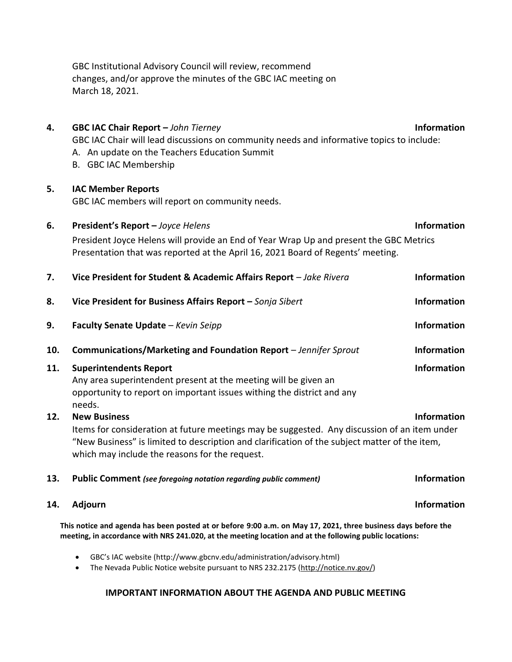GBC Institutional Advisory Council will review, recommend changes, and/or approve the minutes of the GBC IAC meeting on March 18, 2021.

| 4.                                                                                                            | GBC IAC Chair Report - John Tierney                                                           | <b>Information</b> |
|---------------------------------------------------------------------------------------------------------------|-----------------------------------------------------------------------------------------------|--------------------|
|                                                                                                               | GBC IAC Chair will lead discussions on community needs and informative topics to include:     |                    |
|                                                                                                               | A. An update on the Teachers Education Summit                                                 |                    |
|                                                                                                               | B. GBC IAC Membership                                                                         |                    |
|                                                                                                               |                                                                                               |                    |
| 5.                                                                                                            | <b>IAC Member Reports</b>                                                                     |                    |
|                                                                                                               | GBC IAC members will report on community needs.                                               |                    |
|                                                                                                               |                                                                                               |                    |
| 6.                                                                                                            | President's Report - Joyce Helens                                                             | Information        |
|                                                                                                               | President Joyce Helens will provide an End of Year Wrap Up and present the GBC Metrics        |                    |
|                                                                                                               | Presentation that was reported at the April 16, 2021 Board of Regents' meeting.               |                    |
|                                                                                                               |                                                                                               |                    |
| 7.                                                                                                            | Vice President for Student & Academic Affairs Report - Jake Rivera                            | Information        |
|                                                                                                               |                                                                                               |                    |
| 8.                                                                                                            | Vice President for Business Affairs Report - Sonja Sibert                                     | Information        |
| 9.                                                                                                            | Faculty Senate Update - Kevin Seipp                                                           | Information        |
|                                                                                                               |                                                                                               |                    |
| 10.                                                                                                           | Communications/Marketing and Foundation Report - Jennifer Sprout                              | <b>Information</b> |
| 11.                                                                                                           | <b>Superintendents Report</b>                                                                 | <b>Information</b> |
|                                                                                                               | Any area superintendent present at the meeting will be given an                               |                    |
|                                                                                                               | opportunity to report on important issues withing the district and any                        |                    |
|                                                                                                               | needs.                                                                                        |                    |
| 12.                                                                                                           | <b>New Business</b>                                                                           | <b>Information</b> |
|                                                                                                               | Items for consideration at future meetings may be suggested. Any discussion of an item under  |                    |
|                                                                                                               | "New Business" is limited to description and clarification of the subject matter of the item, |                    |
|                                                                                                               | which may include the reasons for the request.                                                |                    |
|                                                                                                               |                                                                                               |                    |
| 13.                                                                                                           | <b>Public Comment</b> (see foregoing notation regarding public comment)                       | <b>Information</b> |
| 14.                                                                                                           | Adjourn                                                                                       | <b>Information</b> |
|                                                                                                               |                                                                                               |                    |
| This notice and agenda has been posted at or before 9:00 a.m. on May 17, 2021, three business days before the |                                                                                               |                    |
| meeting, in accordance with NRS 241.020, at the meeting location and at the following public locations:       |                                                                                               |                    |

• GBC's IAC website (http://www.gbcnv.edu/administration/advisory.html)

• The Nevada Public Notice website pursuant to NRS 232.2175 [\(http://notice.nv.gov/\)](http://notice.nv.gov/)

## **IMPORTANT INFORMATION ABOUT THE AGENDA AND PUBLIC MEETING**